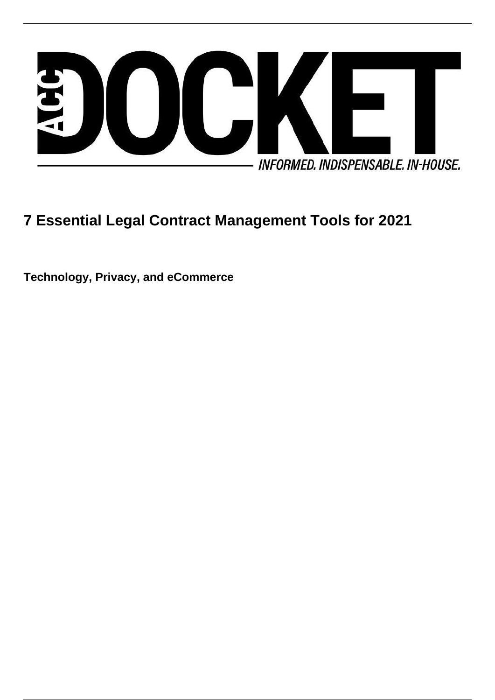

# **7 Essential Legal Contract Management Tools for 2021**

**Technology, Privacy, and eCommerce**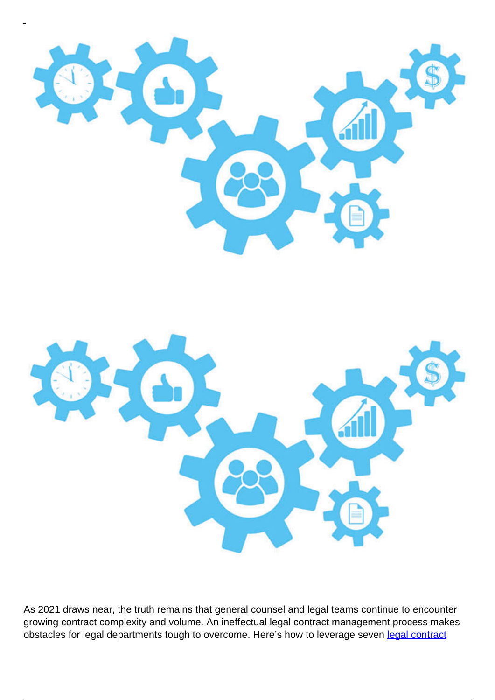



As 2021 draws near, the truth remains that general counsel and legal teams continue to encounter growing contract complexity and volume. An ineffectual legal contract management process makes obstacles for legal departments tough to overcome. Here's how to leverage seven [legal contract](https://www.cobblestonesoftware.com/industries/legal-contract-management-software)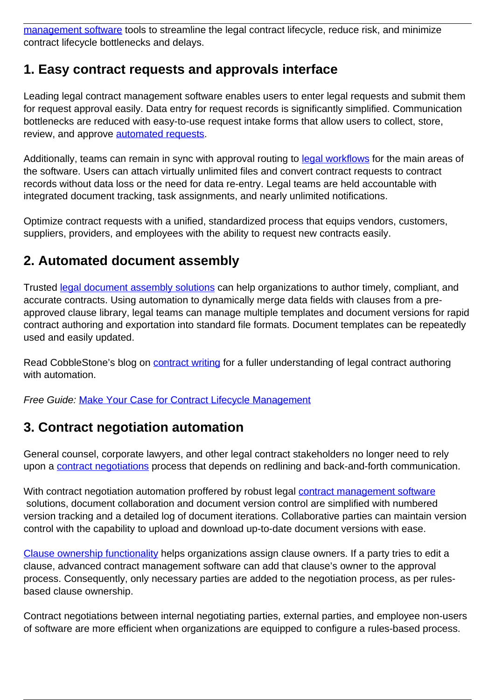[management software](https://www.cobblestonesoftware.com/industries/legal-contract-management-software) tools to streamline the legal contract lifecycle, reduce risk, and minimize contract lifecycle bottlenecks and delays.

# **1. Easy contract requests and approvals interface**

Leading legal contract management software enables users to enter legal requests and submit them for request approval easily. Data entry for request records is significantly simplified. Communication bottlenecks are reduced with easy-to-use request intake forms that allow users to collect, store, review, and approve [automated requests.](https://www.cobblestonesoftware.com/blog/automated-contract-request-management-with-contract-insight)

Additionally, teams can remain in sync with approval routing to [legal workflows](https://www.cobblestonesoftware.com/blog/legal-workflow-for-legal-operations) for the main areas of the software. Users can attach virtually unlimited files and convert contract requests to contract records without data loss or the need for data re-entry. Legal teams are held accountable with integrated document tracking, task assignments, and nearly unlimited notifications.

Optimize contract requests with a unified, standardized process that equips vendors, customers, suppliers, providers, and employees with the ability to request new contracts easily.

### **2. Automated document assembly**

Trusted [legal document assembly solutions](https://www.cobblestonesoftware.com/products/document-assembly) can help organizations to author timely, compliant, and accurate contracts. Using automation to dynamically merge data fields with clauses from a preapproved clause library, legal teams can manage multiple templates and document versions for rapid contract authoring and exportation into standard file formats. Document templates can be repeatedly used and easily updated.

Read CobbleStone's blog on **contract writing** for a fuller understanding of legal contract authoring with automation.

Free Guide: [Make Your Case for Contract Lifecycle Management](https://www.cobblestonesoftware.com/makeyourcase?__hssc=132792529.1.1599589673906&__hstc=132792529.ab7216de7264992bfcb1e99829676321.1581699674394.1599586141336.1599589673906.468&hsCtaTracking=dc525418-1b24-4c1f-a636-e5f29663c47c%7Ca42dfca7-062d-47b3-99b8-ad04d96c54b0)

### **3. Contract negotiation automation**

General counsel, corporate lawyers, and other legal contract stakeholders no longer need to rely upon a [contract negotiations](https://www.cobblestonesoftware.com/blog/contract-negotiations-with-contract-insight) process that depends on redlining and back-and-forth communication.

With contract negotiation automation proffered by robust legal [contract management software](https://www.cobblestonesoftware.com/) solutions, document collaboration and document version control are simplified with numbered version tracking and a detailed log of document iterations. Collaborative parties can maintain version control with the capability to upload and download up-to-date document versions with ease.

[Clause ownership functionality](https://www.cobblestonesoftware.com/blog/contract-clauses-mastering-contract-management-series) helps organizations assign clause owners. If a party tries to edit a clause, advanced contract management software can add that clause's owner to the approval process. Consequently, only necessary parties are added to the negotiation process, as per rulesbased clause ownership.

Contract negotiations between internal negotiating parties, external parties, and employee non-users of software are more efficient when organizations are equipped to configure a rules-based process.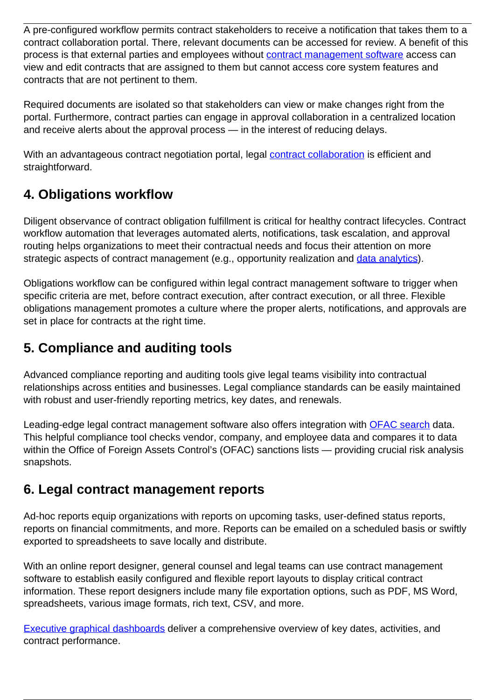A pre-configured workflow permits contract stakeholders to receive a notification that takes them to a contract collaboration portal. There, relevant documents can be accessed for review. A benefit of this process is that external parties and employees without [contract management software](https://www.cobblestonesoftware.com/) access can view and edit contracts that are assigned to them but cannot access core system features and contracts that are not pertinent to them.

Required documents are isolated so that stakeholders can view or make changes right from the portal. Furthermore, contract parties can engage in approval collaboration in a centralized location and receive alerts about the approval process — in the interest of reducing delays.

With an advantageous contract negotiation portal, legal **contract collaboration** is efficient and straightforward.

# **4. Obligations workflow**

Diligent observance of contract obligation fulfillment is critical for healthy contract lifecycles. Contract workflow automation that leverages automated alerts, notifications, task escalation, and approval routing helps organizations to meet their contractual needs and focus their attention on more strategic aspects of contract management (e.g., opportunity realization and [data analytics\)](https://www.cobblestonesoftware.com/blog/5-critical-decisions-driven-by-contract-data).

Obligations workflow can be configured within legal contract management software to trigger when specific criteria are met, before contract execution, after contract execution, or all three. Flexible obligations management promotes a culture where the proper alerts, notifications, and approvals are set in place for contracts at the right time.

# **5. Compliance and auditing tools**

Advanced compliance reporting and auditing tools give legal teams visibility into contractual relationships across entities and businesses. Legal compliance standards can be easily maintained with robust and user-friendly reporting metrics, key dates, and renewals.

Leading-edge legal contract management software also offers integration with [OFAC search](https://www.cobblestonesoftware.com/blog/ofac-search-made-easy-with-contract-management-software) data. This helpful compliance tool checks vendor, company, and employee data and compares it to data within the Office of Foreign Assets Control's (OFAC) sanctions lists — providing crucial risk analysis snapshots.

# **6. Legal contract management reports**

Ad-hoc reports equip organizations with reports on upcoming tasks, user-defined status reports, reports on financial commitments, and more. Reports can be emailed on a scheduled basis or swiftly exported to spreadsheets to save locally and distribute.

With an online report designer, general counsel and legal teams can use contract management software to establish easily configured and flexible report layouts to display critical contract information. These report designers include many file exportation options, such as PDF, MS Word, spreadsheets, various image formats, rich text, CSV, and more.

[Executive graphical dashboards](https://www.cobblestonesoftware.com/blog/contract-insight-executive-graphical-dashboards) deliver a comprehensive overview of key dates, activities, and contract performance.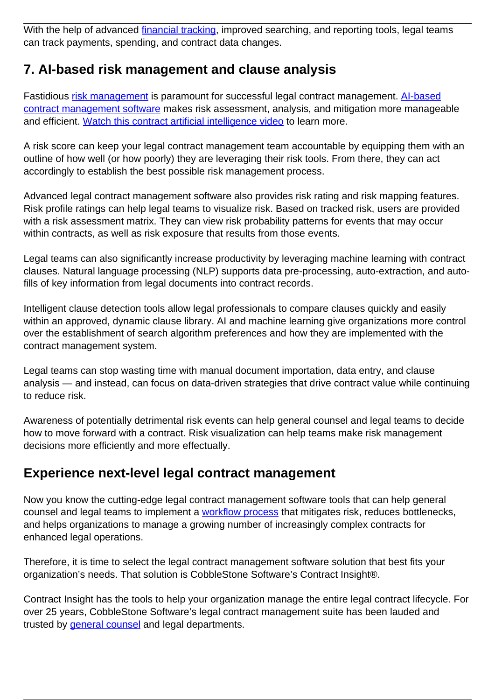With the help of advanced [financial tracking,](https://www.cobblestonesoftware.com/blog/tracking-and-reporting-financial-data-contract-insight) improved searching, and reporting tools, legal teams can track payments, spending, and contract data changes.

### **7. AI-based risk management and clause analysis**

Fastidious [risk management](https://www.cobblestonesoftware.com/blog/assessing-contract-risk-early-identification-and-prevention) is paramount for successful legal contract management. Al-based [contract management software](https://www.cobblestonesoftware.com/blog/what-is-ai-based-contract-management) makes risk assessment, analysis, and mitigation more manageable and efficient. [Watch this contract artificial intelligence video](https://www.youtube.com/watch?v=RXvbqU5Hfc8&t=2s) to learn more.

A risk score can keep your legal contract management team accountable by equipping them with an outline of how well (or how poorly) they are leveraging their risk tools. From there, they can act accordingly to establish the best possible risk management process.

Advanced legal contract management software also provides risk rating and risk mapping features. Risk profile ratings can help legal teams to visualize risk. Based on tracked risk, users are provided with a risk assessment matrix. They can view risk probability patterns for events that may occur within contracts, as well as risk exposure that results from those events.

Legal teams can also significantly increase productivity by leveraging machine learning with contract clauses. Natural language processing (NLP) supports data pre-processing, auto-extraction, and autofills of key information from legal documents into contract records.

Intelligent clause detection tools allow legal professionals to compare clauses quickly and easily within an approved, dynamic clause library. AI and machine learning give organizations more control over the establishment of search algorithm preferences and how they are implemented with the contract management system.

Legal teams can stop wasting time with manual document importation, data entry, and clause analysis — and instead, can focus on data-driven strategies that drive contract value while continuing to reduce risk.

Awareness of potentially detrimental risk events can help general counsel and legal teams to decide how to move forward with a contract. Risk visualization can help teams make risk management decisions more efficiently and more effectually.

### **Experience next-level legal contract management**

Now you know the cutting-edge legal contract management software tools that can help general counsel and legal teams to implement a [workflow process](https://www.cobblestonesoftware.com/contract-management-software/contract-workflows) that mitigates risk, reduces bottlenecks, and helps organizations to manage a growing number of increasingly complex contracts for enhanced legal operations.

Therefore, it is time to select the legal contract management software solution that best fits your organization's needs. That solution is CobbleStone Software's Contract Insight®.

Contract Insight has the tools to help your organization manage the entire legal contract lifecycle. For over 25 years, CobbleStone Software's legal contract management suite has been lauded and trusted by [general counsel](https://www.cobblestonesoftware.com/blog/general-counsels-open-and-shut-case-for-better-contract-management) and legal departments.